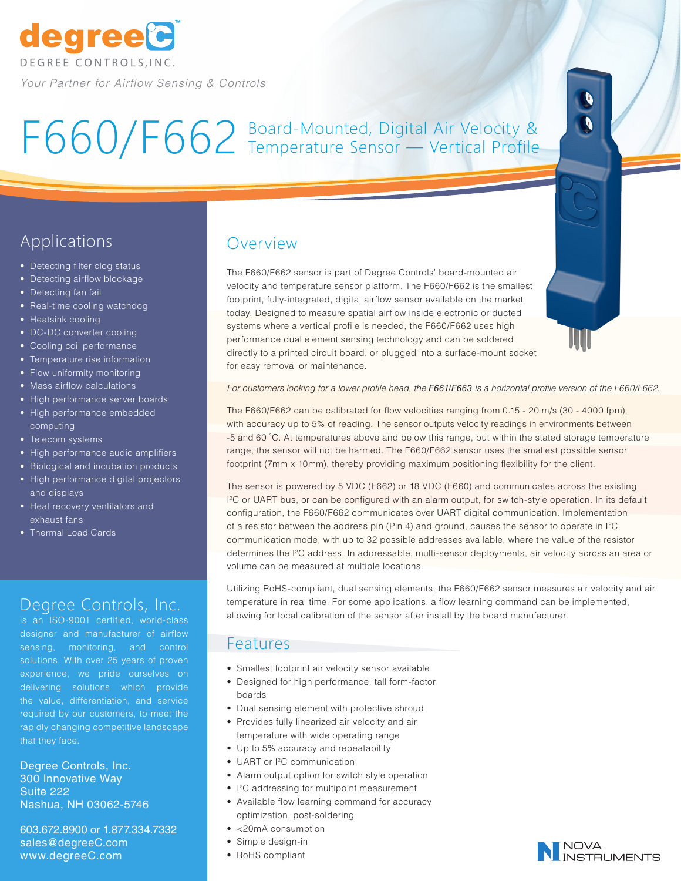

# F660/F662 Board-Mounted, Digital Air Velocity & Temperature Sensor — Vertical Profile



# Applications

- Detecting filter clog status
- Detecting airflow blockage
- Detecting fan fail
- Real-time cooling watchdog
- Heatsink cooling
- DC-DC converter cooling
- Cooling coil performance
- Temperature rise information
- Flow uniformity monitoring
- Mass airflow calculations
- High performance server boards
- High performance embedded computing
- Telecom systems
- High performance audio amplifiers
- Biological and incubation products
- High performance digital projectors and displays
- Heat recovery ventilators and exhaust fans
- Thermal Load Cards

## Degree Controls, Inc.

is an ISO-9001 certified, world-class designer and manufacturer of airflow sensing, monitoring, and control solutions. With over 25 years of proven experience, we pride ourselves on delivering solutions which provide the value, differentiation, and service required by our customers, to meet the rapidly changing competitive landscape that they face.

Degree Controls, Inc. 300 Innovative Way Suite 222 Nashua, NH 03062-5746

603.672.8900 or 1.877.334.7332 sales@degreeC.com www.degreeC.com

## Overview

The F660/F662 sensor is part of Degree Controls' board-mounted air velocity and temperature sensor platform. The F660/F662 is the smallest footprint, fully-integrated, digital airflow sensor available on the market today. Designed to measure spatial airflow inside electronic or ducted systems where a vertical profile is needed, the F660/F662 uses high performance dual element sensing technology and can be soldered directly to a printed circuit board, or plugged into a surface-mount socket for easy removal or maintenance.

*For customers looking for a lower profile head, the F661/F663 is a horizontal profile version of the F660/F662.* 

The F660/F662 can be calibrated for flow velocities ranging from 0.15 - 20 m/s (30 - 4000 fpm), with accuracy up to 5% of reading. The sensor outputs velocity readings in environments between -5 and 60 ˚C. At temperatures above and below this range, but within the stated storage temperature range, the sensor will not be harmed. The F660/F662 sensor uses the smallest possible sensor footprint (7mm x 10mm), thereby providing maximum positioning flexibility for the client.

The sensor is powered by 5 VDC (F662) or 18 VDC (F660) and communicates across the existing I 2C or UART bus, or can be configured with an alarm output, for switch-style operation. In its default configuration, the F660/F662 communicates over UART digital communication. Implementation of a resistor between the address pin (Pin 4) and ground, causes the sensor to operate in I2C communication mode, with up to 32 possible addresses available, where the value of the resistor determines the I2C address. In addressable, multi-sensor deployments, air velocity across an area or volume can be measured at multiple locations.

Utilizing RoHS-compliant, dual sensing elements, the F660/F662 sensor measures air velocity and air temperature in real time. For some applications, a flow learning command can be implemented, allowing for local calibration of the sensor after install by the board manufacturer.

#### Features

- Smallest footprint air velocity sensor available
- Designed for high performance, tall form-factor boards
	- Dual sensing element with protective shroud
	- Provides fully linearized air velocity and air temperature with wide operating range
	- Up to 5% accuracy and repeatability
	- UART or I2C communication
	- Alarm output option for switch style operation
	- I 2C addressing for multipoint measurement
- Available flow learning command for accuracy optimization, post-soldering
- <20mA consumption
- Simple design-in
- RoHS compliant